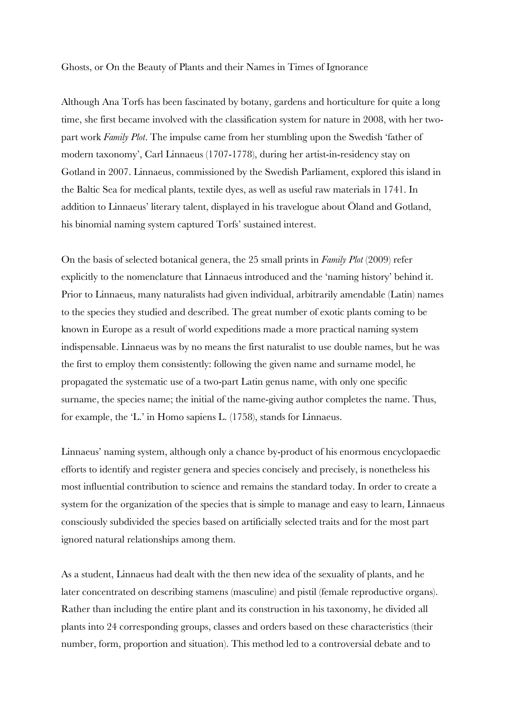Ghosts, or On the Beauty of Plants and their Names in Times of Ignorance

Although Ana Torfs has been fascinated by botany, gardens and horticulture for quite a long time, she first became involved with the classification system for nature in 2008, with her twopart work *Family Plot*. The impulse came from her stumbling upon the Swedish 'father of modern taxonomy', Carl Linnaeus (1707-1778), during her artist-in-residency stay on Gotland in 2007. Linnaeus, commissioned by the Swedish Parliament, explored this island in the Baltic Sea for medical plants, textile dyes, as well as useful raw materials in 1741. In addition to Linnaeus' literary talent, displayed in his travelogue about Öland and Gotland, his binomial naming system captured Torfs' sustained interest.

On the basis of selected botanical genera, the 25 small prints in *Family Plot* (2009) refer explicitly to the nomenclature that Linnaeus introduced and the 'naming history' behind it. Prior to Linnaeus, many naturalists had given individual, arbitrarily amendable (Latin) names to the species they studied and described. The great number of exotic plants coming to be known in Europe as a result of world expeditions made a more practical naming system indispensable. Linnaeus was by no means the first naturalist to use double names, but he was the first to employ them consistently: following the given name and surname model, he propagated the systematic use of a two-part Latin genus name, with only one specific surname, the species name; the initial of the name-giving author completes the name. Thus, for example, the 'L.' in Homo sapiens L. (1758), stands for Linnaeus.

Linnaeus' naming system, although only a chance by-product of his enormous encyclopaedic efforts to identify and register genera and species concisely and precisely, is nonetheless his most influential contribution to science and remains the standard today. In order to create a system for the organization of the species that is simple to manage and easy to learn, Linnaeus consciously subdivided the species based on artificially selected traits and for the most part ignored natural relationships among them.

As a student, Linnaeus had dealt with the then new idea of the sexuality of plants, and he later concentrated on describing stamens (masculine) and pistil (female reproductive organs). Rather than including the entire plant and its construction in his taxonomy, he divided all plants into 24 corresponding groups, classes and orders based on these characteristics (their number, form, proportion and situation). This method led to a controversial debate and to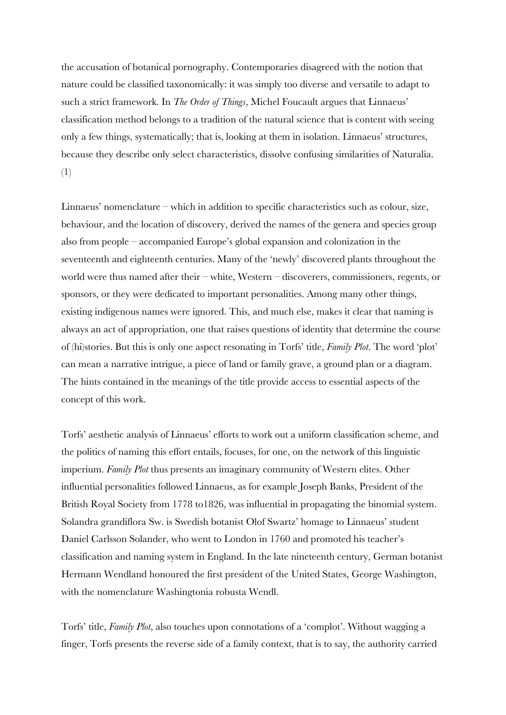the accusation of botanical pornography. Contemporaries disagreed with the notion that nature could be classified taxonomically: it was simply too diverse and versatile to adapt to such a strict framework. In *The Order of Things*, Michel Foucault argues that Linnaeus' classification method belongs to a tradition of the natural science that is content with seeing only a few things, systematically; that is, looking at them in isolation. Linnaeus' structures, because they describe only select characteristics, dissolve confusing similarities of Naturalia. (1)

Linnaeus' nomenclature – which in addition to specific characteristics such as colour, size, behaviour, and the location of discovery, derived the names of the genera and species group also from people – accompanied Europe's global expansion and colonization in the seventeenth and eighteenth centuries. Many of the 'newly' discovered plants throughout the world were thus named after their – white, Western – discoverers, commissioners, regents, or sponsors, or they were dedicated to important personalities. Among many other things, existing indigenous names were ignored. This, and much else, makes it clear that naming is always an act of appropriation, one that raises questions of identity that determine the course of (hi)stories. But this is only one aspect resonating in Torfs' title, *Family Plot*. The word 'plot' can mean a narrative intrigue, a piece of land or family grave, a ground plan or a diagram. The hints contained in the meanings of the title provide access to essential aspects of the concept of this work.

Torfs' aesthetic analysis of Linnaeus' efforts to work out a uniform classification scheme, and the politics of naming this effort entails, focuses, for one, on the network of this linguistic imperium. *Family Plot* thus presents an imaginary community of Western elites. Other influential personalities followed Linnaeus, as for example Joseph Banks, President of the British Royal Society from 1778 to1826, was influential in propagating the binomial system. Solandra grandiflora Sw. is Swedish botanist Olof Swartz' homage to Linnaeus' student Daniel Carlsson Solander, who went to London in 1760 and promoted his teacher's classification and naming system in England. In the late nineteenth century, German botanist Hermann Wendland honoured the first president of the United States, George Washington, with the nomenclature Washingtonia robusta Wendl.

Torfs' title, *Family Plot*, also touches upon connotations of a 'complot'. Without wagging a finger, Torfs presents the reverse side of a family context, that is to say, the authority carried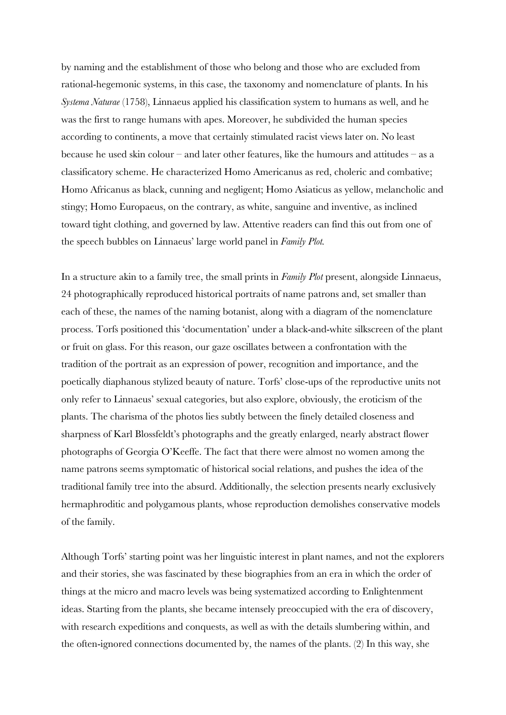by naming and the establishment of those who belong and those who are excluded from rational-hegemonic systems, in this case, the taxonomy and nomenclature of plants. In his *Systema Naturae* (1758), Linnaeus applied his classification system to humans as well, and he was the first to range humans with apes. Moreover, he subdivided the human species according to continents, a move that certainly stimulated racist views later on. No least because he used skin colour – and later other features, like the humours and attitudes – as a classificatory scheme. He characterized Homo Americanus as red, choleric and combative; Homo Africanus as black, cunning and negligent; Homo Asiaticus as yellow, melancholic and stingy; Homo Europaeus, on the contrary, as white, sanguine and inventive, as inclined toward tight clothing, and governed by law. Attentive readers can find this out from one of the speech bubbles on Linnaeus' large world panel in *Family Plot.*

In a structure akin to a family tree, the small prints in *Family Plot* present, alongside Linnaeus, 24 photographically reproduced historical portraits of name patrons and, set smaller than each of these, the names of the naming botanist, along with a diagram of the nomenclature process. Torfs positioned this 'documentation' under a black-and-white silkscreen of the plant or fruit on glass. For this reason, our gaze oscillates between a confrontation with the tradition of the portrait as an expression of power, recognition and importance, and the poetically diaphanous stylized beauty of nature. Torfs' close-ups of the reproductive units not only refer to Linnaeus' sexual categories, but also explore, obviously, the eroticism of the plants. The charisma of the photos lies subtly between the finely detailed closeness and sharpness of Karl Blossfeldt's photographs and the greatly enlarged, nearly abstract flower photographs of Georgia O'Keeffe. The fact that there were almost no women among the name patrons seems symptomatic of historical social relations, and pushes the idea of the traditional family tree into the absurd. Additionally, the selection presents nearly exclusively hermaphroditic and polygamous plants, whose reproduction demolishes conservative models of the family.

Although Torfs' starting point was her linguistic interest in plant names, and not the explorers and their stories, she was fascinated by these biographies from an era in which the order of things at the micro and macro levels was being systematized according to Enlightenment ideas. Starting from the plants, she became intensely preoccupied with the era of discovery, with research expeditions and conquests, as well as with the details slumbering within, and the often-ignored connections documented by, the names of the plants. (2) In this way, she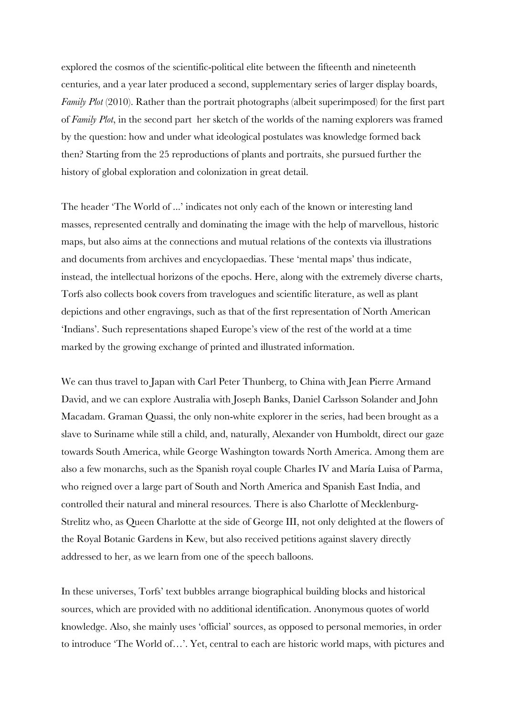explored the cosmos of the scientific-political elite between the fifteenth and nineteenth centuries, and a year later produced a second, supplementary series of larger display boards, *Family Plot* (2010). Rather than the portrait photographs (albeit superimposed) for the first part of *Family Plot*, in the second part her sketch of the worlds of the naming explorers was framed by the question: how and under what ideological postulates was knowledge formed back then? Starting from the 25 reproductions of plants and portraits, she pursued further the history of global exploration and colonization in great detail.

The header 'The World of ...' indicates not only each of the known or interesting land masses, represented centrally and dominating the image with the help of marvellous, historic maps, but also aims at the connections and mutual relations of the contexts via illustrations and documents from archives and encyclopaedias. These 'mental maps' thus indicate, instead, the intellectual horizons of the epochs. Here, along with the extremely diverse charts, Torfs also collects book covers from travelogues and scientific literature, as well as plant depictions and other engravings, such as that of the first representation of North American 'Indians'. Such representations shaped Europe's view of the rest of the world at a time marked by the growing exchange of printed and illustrated information.

We can thus travel to Japan with Carl Peter Thunberg, to China with Jean Pierre Armand David, and we can explore Australia with Joseph Banks, Daniel Carlsson Solander and John Macadam. Graman Quassi, the only non-white explorer in the series, had been brought as a slave to Suriname while still a child, and, naturally, Alexander von Humboldt, direct our gaze towards South America, while George Washington towards North America. Among them are also a few monarchs, such as the Spanish royal couple Charles IV and María Luisa of Parma, who reigned over a large part of South and North America and Spanish East India, and controlled their natural and mineral resources. There is also Charlotte of Mecklenburg-Strelitz who, as Queen Charlotte at the side of George III, not only delighted at the flowers of the Royal Botanic Gardens in Kew, but also received petitions against slavery directly addressed to her, as we learn from one of the speech balloons.

In these universes, Torfs' text bubbles arrange biographical building blocks and historical sources, which are provided with no additional identification. Anonymous quotes of world knowledge. Also, she mainly uses 'official' sources, as opposed to personal memories, in order to introduce 'The World of…'. Yet, central to each are historic world maps, with pictures and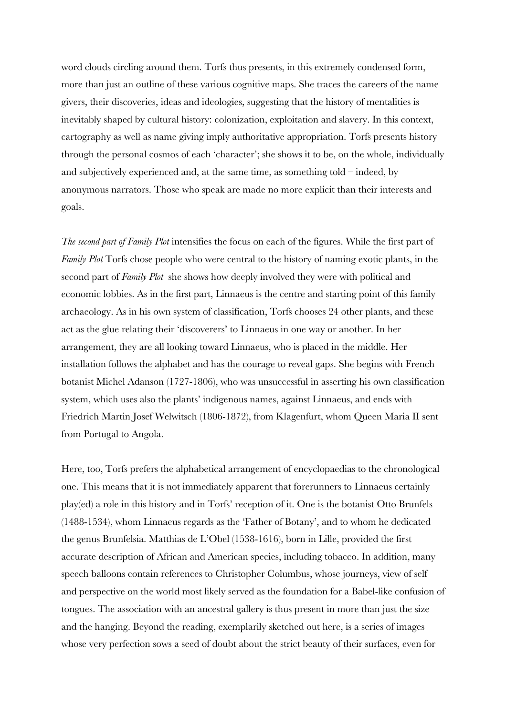word clouds circling around them. Torfs thus presents, in this extremely condensed form, more than just an outline of these various cognitive maps. She traces the careers of the name givers, their discoveries, ideas and ideologies, suggesting that the history of mentalities is inevitably shaped by cultural history: colonization, exploitation and slavery. In this context, cartography as well as name giving imply authoritative appropriation. Torfs presents history through the personal cosmos of each 'character'; she shows it to be, on the whole, individually and subjectively experienced and, at the same time, as something told – indeed, by anonymous narrators. Those who speak are made no more explicit than their interests and goals.

*The second part of Family Plot* intensifies the focus on each of the figures. While the first part of *Family Plot* Torfs chose people who were central to the history of naming exotic plants, in the second part of *Family Plot* she shows how deeply involved they were with political and economic lobbies. As in the first part, Linnaeus is the centre and starting point of this family archaeology. As in his own system of classification, Torfs chooses 24 other plants, and these act as the glue relating their 'discoverers' to Linnaeus in one way or another. In her arrangement, they are all looking toward Linnaeus, who is placed in the middle. Her installation follows the alphabet and has the courage to reveal gaps. She begins with French botanist Michel Adanson (1727-1806), who was unsuccessful in asserting his own classification system, which uses also the plants' indigenous names, against Linnaeus, and ends with Friedrich Martin Josef Welwitsch (1806-1872), from Klagenfurt, whom Queen Maria II sent from Portugal to Angola.

Here, too, Torfs prefers the alphabetical arrangement of encyclopaedias to the chronological one. This means that it is not immediately apparent that forerunners to Linnaeus certainly play(ed) a role in this history and in Torfs' reception of it. One is the botanist Otto Brunfels (1488-1534), whom Linnaeus regards as the 'Father of Botany', and to whom he dedicated the genus Brunfelsia. Matthias de L'Obel (1538-1616), born in Lille, provided the first accurate description of African and American species, including tobacco. In addition, many speech balloons contain references to Christopher Columbus, whose journeys, view of self and perspective on the world most likely served as the foundation for a Babel-like confusion of tongues. The association with an ancestral gallery is thus present in more than just the size and the hanging. Beyond the reading, exemplarily sketched out here, is a series of images whose very perfection sows a seed of doubt about the strict beauty of their surfaces, even for